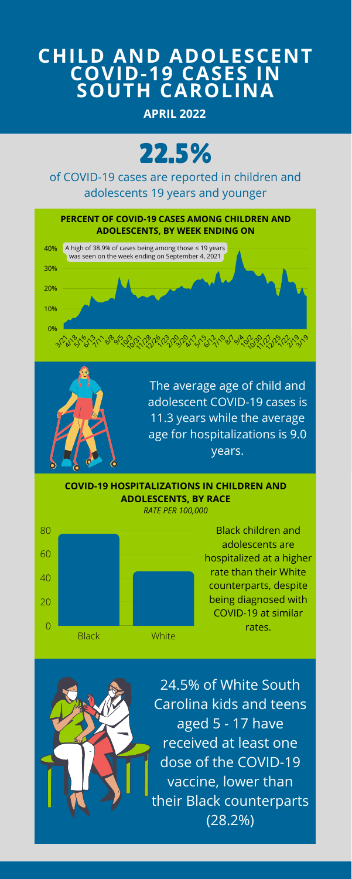

## **CHILD AND ADOLESCENT COVID-19 CASES IN SOUTH CAROLINA**

The average age of child and adolescent COVID-19 cases is 11.3 years while the average age for hospitalizations is 9.0 years.

> Black children and adolescents are hospitalized at a higher rate than their White counterparts, despite being diagnosed with COVID-19 at similar rates.







24.5% of White South Carolina kids and teens aged 5 - 17 have received at least one dose of the COVID-19 vaccine, lower than their Black counterparts (28.2%)



of COVID-19 cases are reported in children and adolescents 19 years and younger

**COVID-19 HOSPITALIZATIONS IN CHILDREN AND ADOLESCENTS, BY RACE**

*RATE PER 100,000*

**APRIL 2022**